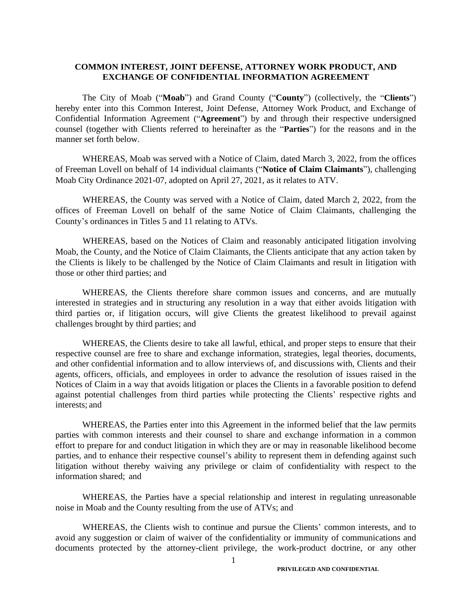## **COMMON INTEREST, JOINT DEFENSE, ATTORNEY WORK PRODUCT, AND EXCHANGE OF CONFIDENTIAL INFORMATION AGREEMENT**

The City of Moab ("**Moab**") and Grand County ("**County**") (collectively, the "**Clients**") hereby enter into this Common Interest, Joint Defense, Attorney Work Product, and Exchange of Confidential Information Agreement ("**Agreement**") by and through their respective undersigned counsel (together with Clients referred to hereinafter as the "**Parties**") for the reasons and in the manner set forth below.

WHEREAS, Moab was served with a Notice of Claim, dated March 3, 2022, from the offices of Freeman Lovell on behalf of 14 individual claimants ("**Notice of Claim Claimants**"), challenging Moab City Ordinance 2021-07, adopted on April 27, 2021, as it relates to ATV.

WHEREAS, the County was served with a Notice of Claim, dated March 2, 2022, from the offices of Freeman Lovell on behalf of the same Notice of Claim Claimants, challenging the County's ordinances in Titles 5 and 11 relating to ATVs.

WHEREAS, based on the Notices of Claim and reasonably anticipated litigation involving Moab, the County, and the Notice of Claim Claimants, the Clients anticipate that any action taken by the Clients is likely to be challenged by the Notice of Claim Claimants and result in litigation with those or other third parties; and

WHEREAS, the Clients therefore share common issues and concerns, and are mutually interested in strategies and in structuring any resolution in a way that either avoids litigation with third parties or, if litigation occurs, will give Clients the greatest likelihood to prevail against challenges brought by third parties; and

WHEREAS, the Clients desire to take all lawful, ethical, and proper steps to ensure that their respective counsel are free to share and exchange information, strategies, legal theories, documents, and other confidential information and to allow interviews of, and discussions with, Clients and their agents, officers, officials, and employees in order to advance the resolution of issues raised in the Notices of Claim in a way that avoids litigation or places the Clients in a favorable position to defend against potential challenges from third parties while protecting the Clients' respective rights and interests; and

WHEREAS, the Parties enter into this Agreement in the informed belief that the law permits parties with common interests and their counsel to share and exchange information in a common effort to prepare for and conduct litigation in which they are or may in reasonable likelihood become parties, and to enhance their respective counsel's ability to represent them in defending against such litigation without thereby waiving any privilege or claim of confidentiality with respect to the information shared; and

WHEREAS, the Parties have a special relationship and interest in regulating unreasonable noise in Moab and the County resulting from the use of ATVs; and

WHEREAS, the Clients wish to continue and pursue the Clients' common interests, and to avoid any suggestion or claim of waiver of the confidentiality or immunity of communications and documents protected by the attorney-client privilege, the work-product doctrine, or any other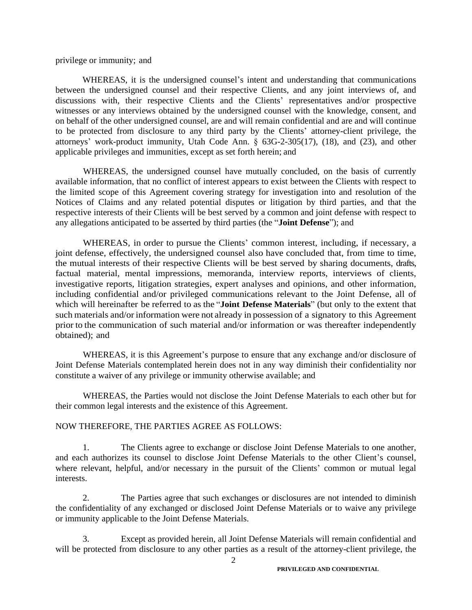privilege or immunity; and

WHEREAS, it is the undersigned counsel's intent and understanding that communications between the undersigned counsel and their respective Clients, and any joint interviews of, and discussions with, their respective Clients and the Clients' representatives and/or prospective witnesses or any interviews obtained by the undersigned counsel with the knowledge, consent, and on behalf of the other undersigned counsel, are and will remain confidential and are and will continue to be protected from disclosure to any third party by the Clients' attorney-client privilege, the attorneys' work-product immunity, Utah Code Ann. § 63G-2-305(17), (18), and (23), and other applicable privileges and immunities, except as set forth herein; and

WHEREAS, the undersigned counsel have mutually concluded, on the basis of currently available information, that no conflict of interest appears to exist between the Clients with respect to the limited scope of this Agreement covering strategy for investigation into and resolution of the Notices of Claims and any related potential disputes or litigation by third parties, and that the respective interests of their Clients will be best served by a common and joint defense with respect to any allegations anticipated to be asserted by third parties (the "**Joint Defense**"); and

WHEREAS, in order to pursue the Clients' common interest, including, if necessary, a joint defense, effectively, the undersigned counsel also have concluded that, from time to time, the mutual interests of their respective Clients will be best served by sharing documents, drafts, factual material, mental impressions, memoranda, interview reports, interviews of clients, investigative reports, litigation strategies, expert analyses and opinions, and other information, including confidential and/or privileged communications relevant to the Joint Defense, all of which will hereinafter be referred to as the "**Joint Defense Materials**" (but only to the extent that such materials and/or information were not already in possession of a signatory to this Agreement prior to the communication of such material and/or information or was thereafter independently obtained); and

WHEREAS, it is this Agreement's purpose to ensure that any exchange and/or disclosure of Joint Defense Materials contemplated herein does not in any way diminish their confidentiality nor constitute a waiver of any privilege or immunity otherwise available; and

WHEREAS, the Parties would not disclose the Joint Defense Materials to each other but for their common legal interests and the existence of this Agreement.

## NOW THEREFORE, THE PARTIES AGREE AS FOLLOWS:

1. The Clients agree to exchange or disclose Joint Defense Materials to one another, and each authorizes its counsel to disclose Joint Defense Materials to the other Client's counsel, where relevant, helpful, and/or necessary in the pursuit of the Clients' common or mutual legal interests.

2. The Parties agree that such exchanges or disclosures are not intended to diminish the confidentiality of any exchanged or disclosed Joint Defense Materials or to waive any privilege or immunity applicable to the Joint Defense Materials.

3. Except as provided herein, all Joint Defense Materials will remain confidential and will be protected from disclosure to any other parties as a result of the attorney-client privilege, the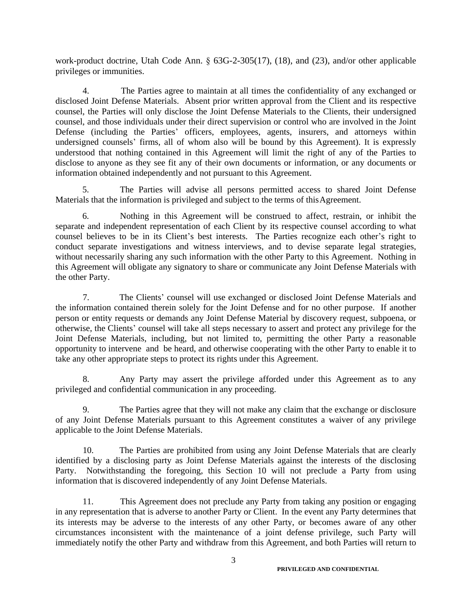work-product doctrine, Utah Code Ann. § 63G-2-305(17), (18), and (23), and/or other applicable privileges or immunities.

4. The Parties agree to maintain at all times the confidentiality of any exchanged or disclosed Joint Defense Materials. Absent prior written approval from the Client and its respective counsel, the Parties will only disclose the Joint Defense Materials to the Clients, their undersigned counsel, and those individuals under their direct supervision or control who are involved in the Joint Defense (including the Parties' officers, employees, agents, insurers, and attorneys within undersigned counsels' firms, all of whom also will be bound by this Agreement). It is expressly understood that nothing contained in this Agreement will limit the right of any of the Parties to disclose to anyone as they see fit any of their own documents or information, or any documents or information obtained independently and not pursuant to this Agreement.

5. The Parties will advise all persons permitted access to shared Joint Defense Materials that the information is privileged and subject to the terms of thisAgreement.

6. Nothing in this Agreement will be construed to affect, restrain, or inhibit the separate and independent representation of each Client by its respective counsel according to what counsel believes to be in its Client's best interests. The Parties recognize each other's right to conduct separate investigations and witness interviews, and to devise separate legal strategies, without necessarily sharing any such information with the other Party to this Agreement. Nothing in this Agreement will obligate any signatory to share or communicate any Joint Defense Materials with the other Party.

7. The Clients' counsel will use exchanged or disclosed Joint Defense Materials and the information contained therein solely for the Joint Defense and for no other purpose. If another person or entity requests or demands any Joint Defense Material by discovery request, subpoena, or otherwise, the Clients' counsel will take all steps necessary to assert and protect any privilege for the Joint Defense Materials, including, but not limited to, permitting the other Party a reasonable opportunity to intervene and be heard, and otherwise cooperating with the other Party to enable it to take any other appropriate steps to protect its rights under this Agreement.

8. Any Party may assert the privilege afforded under this Agreement as to any privileged and confidential communication in any proceeding.

9. The Parties agree that they will not make any claim that the exchange or disclosure of any Joint Defense Materials pursuant to this Agreement constitutes a waiver of any privilege applicable to the Joint Defense Materials.

10. The Parties are prohibited from using any Joint Defense Materials that are clearly identified by a disclosing party as Joint Defense Materials against the interests of the disclosing Party. Notwithstanding the foregoing, this Section 10 will not preclude a Party from using information that is discovered independently of any Joint Defense Materials.

11. This Agreement does not preclude any Party from taking any position or engaging in any representation that is adverse to another Party or Client. In the event any Party determines that its interests may be adverse to the interests of any other Party, or becomes aware of any other circumstances inconsistent with the maintenance of a joint defense privilege, such Party will immediately notify the other Party and withdraw from this Agreement, and both Parties will return to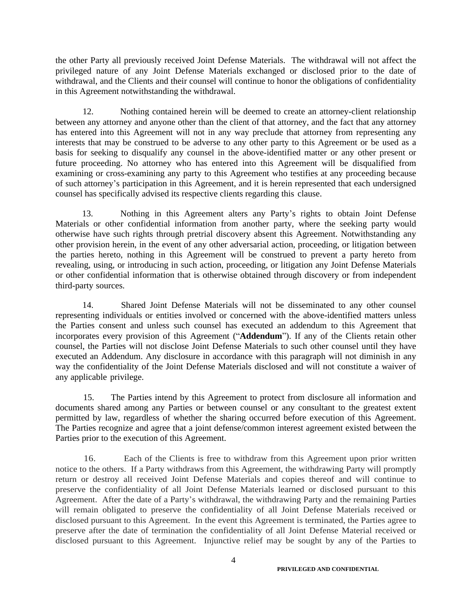the other Party all previously received Joint Defense Materials. The withdrawal will not affect the privileged nature of any Joint Defense Materials exchanged or disclosed prior to the date of withdrawal, and the Clients and their counsel will continue to honor the obligations of confidentiality in this Agreement notwithstanding the withdrawal.

12. Nothing contained herein will be deemed to create an attorney-client relationship between any attorney and anyone other than the client of that attorney, and the fact that any attorney has entered into this Agreement will not in any way preclude that attorney from representing any interests that may be construed to be adverse to any other party to this Agreement or be used as a basis for seeking to disqualify any counsel in the above-identified matter or any other present or future proceeding. No attorney who has entered into this Agreement will be disqualified from examining or cross-examining any party to this Agreement who testifies at any proceeding because of such attorney's participation in this Agreement, and it is herein represented that each undersigned counsel has specifically advised its respective clients regarding this clause.

13. Nothing in this Agreement alters any Party's rights to obtain Joint Defense Materials or other confidential information from another party, where the seeking party would otherwise have such rights through pretrial discovery absent this Agreement. Notwithstanding any other provision herein, in the event of any other adversarial action, proceeding, or litigation between the parties hereto, nothing in this Agreement will be construed to prevent a party hereto from revealing, using, or introducing in such action, proceeding, or litigation any Joint Defense Materials or other confidential information that is otherwise obtained through discovery or from independent third-party sources.

14. Shared Joint Defense Materials will not be disseminated to any other counsel representing individuals or entities involved or concerned with the above-identified matters unless the Parties consent and unless such counsel has executed an addendum to this Agreement that incorporates every provision of this Agreement ("**Addendum**"). If any of the Clients retain other counsel, the Parties will not disclose Joint Defense Materials to such other counsel until they have executed an Addendum. Any disclosure in accordance with this paragraph will not diminish in any way the confidentiality of the Joint Defense Materials disclosed and will not constitute a waiver of any applicable privilege.

15. The Parties intend by this Agreement to protect from disclosure all information and documents shared among any Parties or between counsel or any consultant to the greatest extent permitted by law, regardless of whether the sharing occurred before execution of this Agreement. The Parties recognize and agree that a joint defense/common interest agreement existed between the Parties prior to the execution of this Agreement.

16. Each of the Clients is free to withdraw from this Agreement upon prior written notice to the others. If a Party withdraws from this Agreement, the withdrawing Party will promptly return or destroy all received Joint Defense Materials and copies thereof and will continue to preserve the confidentiality of all Joint Defense Materials learned or disclosed pursuant to this Agreement. After the date of a Party's withdrawal, the withdrawing Party and the remaining Parties will remain obligated to preserve the confidentiality of all Joint Defense Materials received or disclosed pursuant to this Agreement. In the event this Agreement is terminated, the Parties agree to preserve after the date of termination the confidentiality of all Joint Defense Material received or disclosed pursuant to this Agreement. Injunctive relief may be sought by any of the Parties to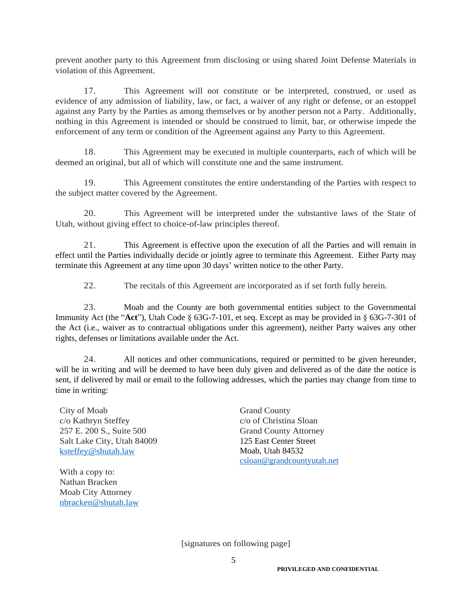prevent another party to this Agreement from disclosing or using shared Joint Defense Materials in violation of this Agreement.

17. This Agreement will not constitute or be interpreted, construed, or used as evidence of any admission of liability, law, or fact, a waiver of any right or defense, or an estoppel against any Party by the Parties as among themselves or by another person not a Party. Additionally, nothing in this Agreement is intended or should be construed to limit, bar, or otherwise impede the enforcement of any term or condition of the Agreement against any Party to this Agreement.

18. This Agreement may be executed in multiple counterparts, each of which will be deemed an original, but all of which will constitute one and the same instrument.

19. This Agreement constitutes the entire understanding of the Parties with respect to the subject matter covered by the Agreement.

20. This Agreement will be interpreted under the substantive laws of the State of Utah, without giving effect to choice-of-law principles thereof.

21. This Agreement is effective upon the execution of all the Parties and will remain in effect until the Parties individually decide or jointly agree to terminate this Agreement. Either Party may terminate this Agreement at any time upon 30 days' written notice to the other Party.

22. The recitals of this Agreement are incorporated as if set forth fully herein.

23. Moab and the County are both governmental entities subject to the Governmental Immunity Act (the "**Act**"), Utah Code § 63G-7-101, et seq. Except as may be provided in § 63G-7-301 of the Act (i.e., waiver as to contractual obligations under this agreement), neither Party waives any other rights, defenses or limitations available under the Act.

24. All notices and other communications, required or permitted to be given hereunder, will be in writing and will be deemed to have been duly given and delivered as of the date the notice is sent, if delivered by mail or email to the following addresses, which the parties may change from time to time in writing:

City of Moab c/o Kathryn Steffey 257 E. 200 S., Suite 500 Salt Lake City, Utah 84009 [ksteffey@shutah.law](mailto:ksteffey@shutah.law)

With a copy to: Nathan Bracken Moab City Attorney [nbracken@shutah.law](mailto:nbracken@shutah.law) Grand County c/o of Christina Sloan Grand County Attorney 125 East Center Street Moab, Utah 84532 [csloan@grandcountyutah.net](mailto:csloan@grandcountyutah.net)

[signatures on following page]